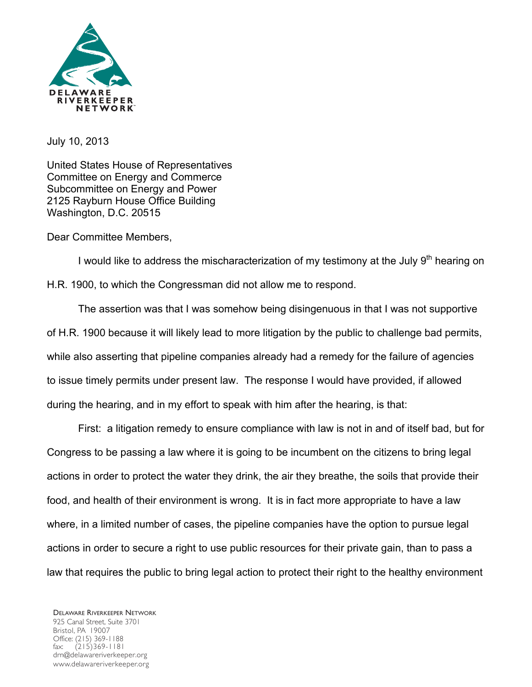

July 10, 2013

United States House of Representatives Committee on Energy and Commerce Subcommittee on Energy and Power 2125 Rayburn House Office Building Washington, D.C. 20515

Dear Committee Members,

I would like to address the mischaracterization of my testimony at the July  $9<sup>th</sup>$  hearing on H.R. 1900, to which the Congressman did not allow me to respond.

The assertion was that I was somehow being disingenuous in that I was not supportive of H.R. 1900 because it will likely lead to more litigation by the public to challenge bad permits, while also asserting that pipeline companies already had a remedy for the failure of agencies to issue timely permits under present law. The response I would have provided, if allowed during the hearing, and in my effort to speak with him after the hearing, is that:

First: a litigation remedy to ensure compliance with law is not in and of itself bad, but for Congress to be passing a law where it is going to be incumbent on the citizens to bring legal actions in order to protect the water they drink, the air they breathe, the soils that provide their food, and health of their environment is wrong. It is in fact more appropriate to have a law where, in a limited number of cases, the pipeline companies have the option to pursue legal actions in order to secure a right to use public resources for their private gain, than to pass a law that requires the public to bring legal action to protect their right to the healthy environment

DELAWARE RIVERKEEPER NETWORK 925 Canal Street, Suite 3701 Bristol, PA 19007 Office: (215) 369-1188 fax: (215)369-1181 drn@delawareriverkeeper.org www.delawareriverkeeper.org